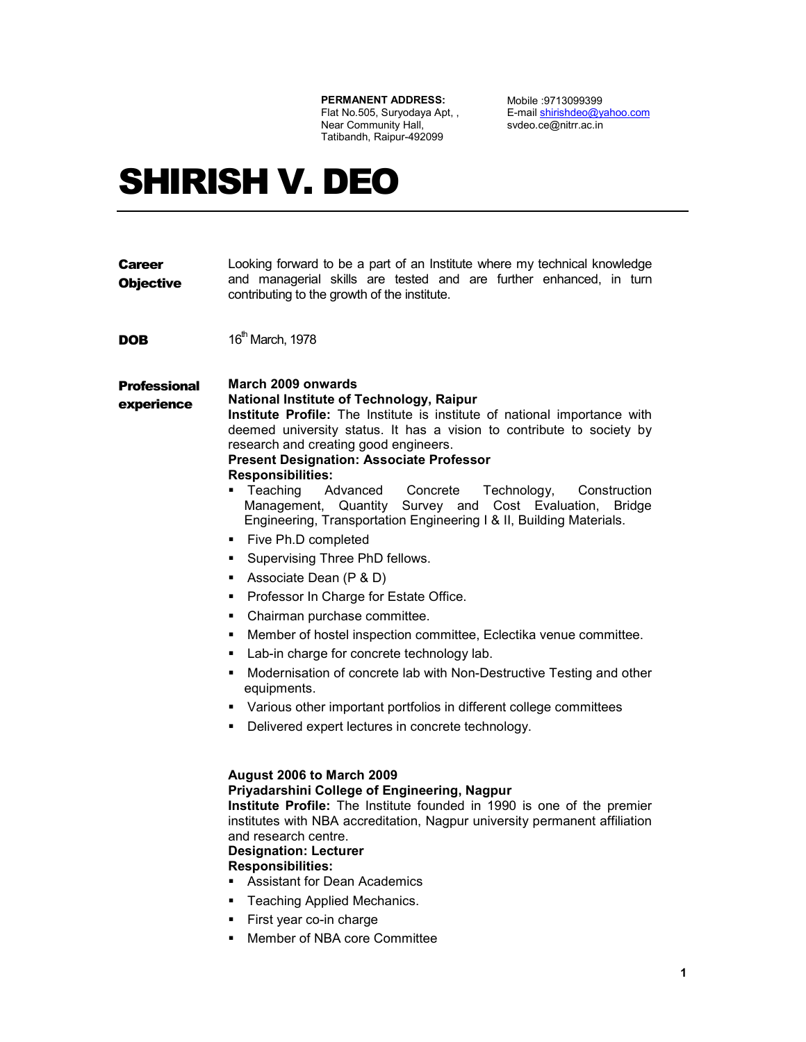#### PERMANENT ADDRESS:

Flat No.505, Suryodaya Apt, , Near Community Hall, Tatibandh, Raipur-492099

Mobile :9713099399 E-mail shirishdeo@yahoo.com svdeo.ce@nitrr.ac.in

# SHIRISH V. DEO

| <b>Objective</b>                                                                              | and managerial skills are tested and are further enhanced, in turn<br>contributing to the growth of the institute.                                                                                                                                                                                                                                                                                                                                                                                                                                                                                                                                                                                                                                                                                                                                                                                                                                                                                                                                                                                                                                                                                                                                                                                                                                                                                                                                                                                                               |
|-----------------------------------------------------------------------------------------------|----------------------------------------------------------------------------------------------------------------------------------------------------------------------------------------------------------------------------------------------------------------------------------------------------------------------------------------------------------------------------------------------------------------------------------------------------------------------------------------------------------------------------------------------------------------------------------------------------------------------------------------------------------------------------------------------------------------------------------------------------------------------------------------------------------------------------------------------------------------------------------------------------------------------------------------------------------------------------------------------------------------------------------------------------------------------------------------------------------------------------------------------------------------------------------------------------------------------------------------------------------------------------------------------------------------------------------------------------------------------------------------------------------------------------------------------------------------------------------------------------------------------------------|
| DOB                                                                                           | 16 <sup>th</sup> March, 1978                                                                                                                                                                                                                                                                                                                                                                                                                                                                                                                                                                                                                                                                                                                                                                                                                                                                                                                                                                                                                                                                                                                                                                                                                                                                                                                                                                                                                                                                                                     |
| <b>Professional</b><br>experience<br>٠<br>٠<br>٠<br>٠<br>٠<br>٠<br>٠<br>٠<br>٠<br>٠<br>٠<br>٠ | March 2009 onwards<br><b>National Institute of Technology, Raipur</b><br>Institute Profile: The Institute is institute of national importance with<br>deemed university status. It has a vision to contribute to society by<br>research and creating good engineers.<br><b>Present Designation: Associate Professor</b><br><b>Responsibilities:</b><br>Teaching<br>Advanced<br>Concrete<br>. .<br>Technology,<br>Construction<br>Management, Quantity Survey and<br>Cost Evaluation, Bridge<br>Engineering, Transportation Engineering I & II, Building Materials.<br>• Five Ph.D completed<br>Supervising Three PhD fellows.<br>Associate Dean (P & D)<br>Professor In Charge for Estate Office.<br>Chairman purchase committee.<br>Member of hostel inspection committee, Eclectika venue committee.<br>Lab-in charge for concrete technology lab.<br>Modernisation of concrete lab with Non-Destructive Testing and other<br>equipments.<br>Various other important portfolios in different college committees<br>Delivered expert lectures in concrete technology.<br>August 2006 to March 2009<br>Priyadarshini College of Engineering, Nagpur<br>Institute Profile: The Institute founded in 1990 is one of the premier<br>institutes with NBA accreditation, Nagpur university permanent affiliation<br>and research centre.<br><b>Designation: Lecturer</b><br><b>Responsibilities:</b><br><b>Assistant for Dean Academics</b><br>Teaching Applied Mechanics.<br>First year co-in charge<br>Member of NBA core Committee |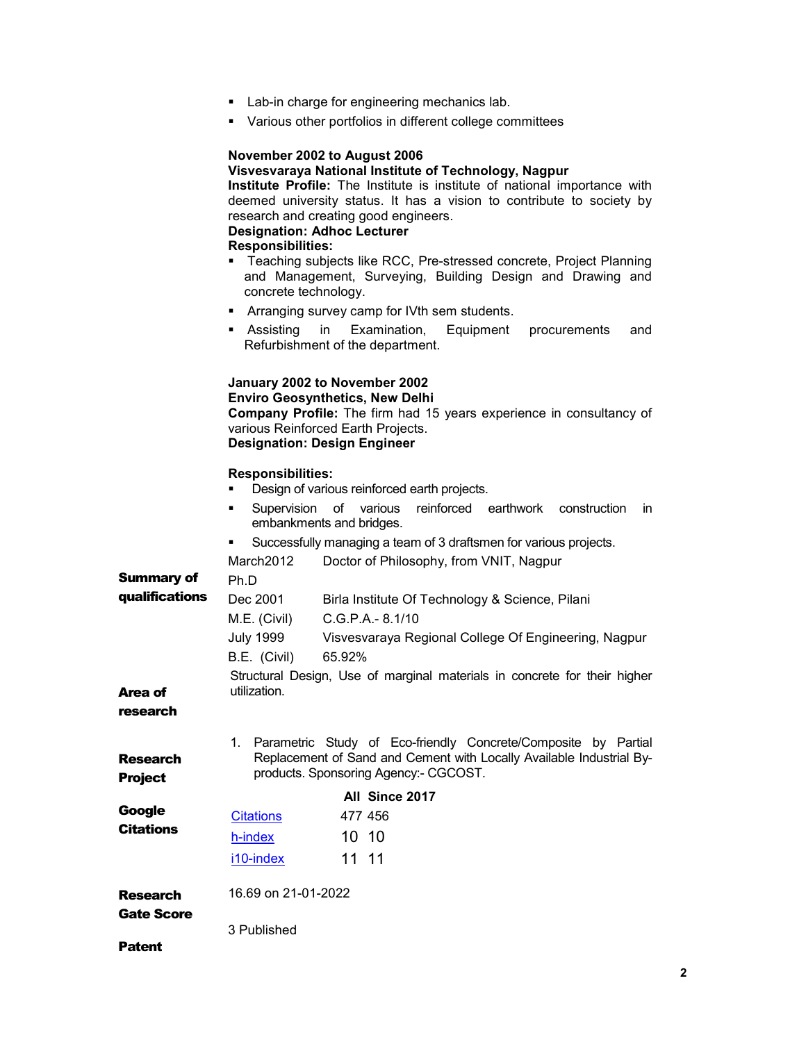- **Lab-in charge for engineering mechanics lab.**
- Various other portfolios in different college committees

### November 2002 to August 2006 Visvesvaraya National Institute of Technology, Nagpur Institute Profile: The Institute is institute of national importance with deemed university status. It has a vision to contribute to society by research and creating good engineers. Designation: Adhoc Lecturer Responsibilities: **Teaching subjects like RCC, Pre-stressed concrete, Project Planning** and Management, Surveying, Building Design and Drawing and concrete technology. **Arranging survey camp for IVth sem students.**  Assisting in Examination, Equipment procurements and Refurbishment of the department. January 2002 to November 2002 Enviro Geosynthetics, New Delhi Company Profile: The firm had 15 years experience in consultancy of various Reinforced Earth Projects. Designation: Design Engineer Responsibilities: **Design of various reinforced earth projects.**  Supervision of various reinforced earthwork construction in embankments and bridges. Successfully managing a team of 3 draftsmen for various projects. Summary of qualifications March2012 Doctor of Philosophy, from VNIT, Nagpur Ph.D Dec 2001 Birla Institute Of Technology & Science, Pilani M.E. (Civil) C.G.P.A.- 8.1/10 July 1999 Visvesvaraya Regional College Of Engineering, Nagpur B.E. (Civil) 65.92% Area of research Structural Design, Use of marginal materials in concrete for their higher utilization. Research **Project** 1. Parametric Study of Eco-friendly Concrete/Composite by Partial Replacement of Sand and Cement with Locally Available Industrial Byproducts. Sponsoring Agency:- CGCOST. **Google Citations** All Since 2017 Citations 477 456 h-index 10 10 i10-index 11 11

| <b>Research</b>   | 16.69 on 21-01-2022 |
|-------------------|---------------------|
| <b>Gate Score</b> |                     |
|                   | 3 Published         |

Patent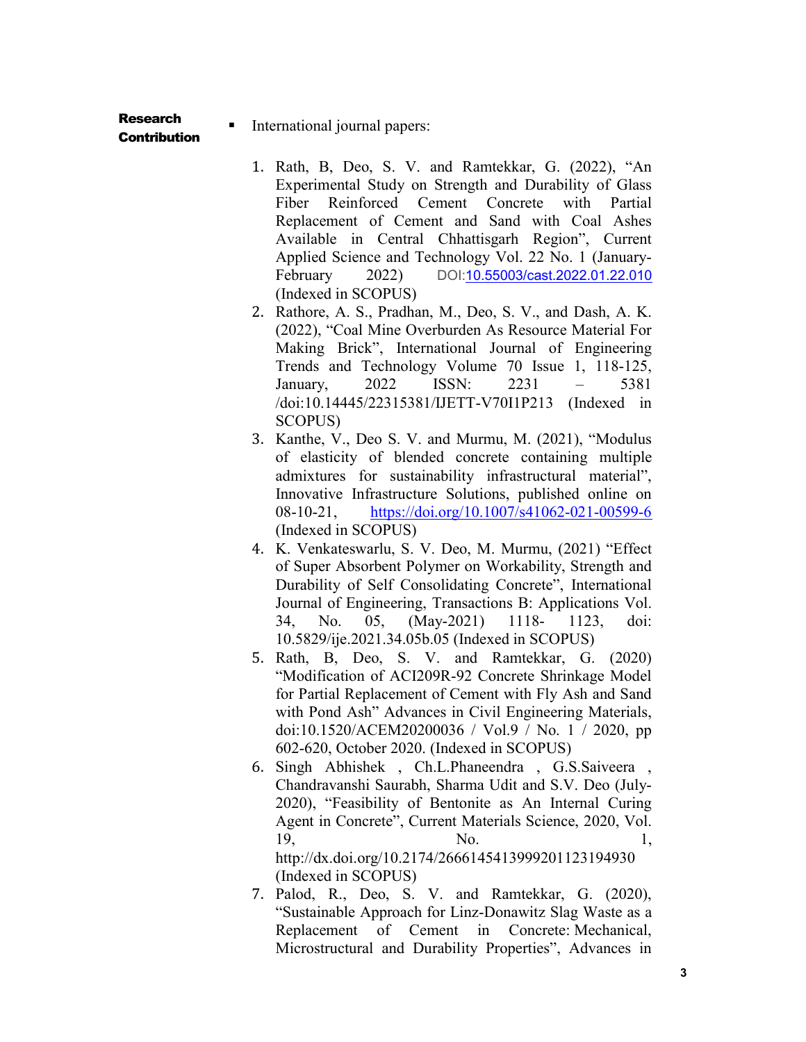Research

# **Contribution**

International journal papers:

- 1. Rath, B, Deo, S. V. and Ramtekkar, G. (2022), "An Experimental Study on Strength and Durability of Glass Fiber Reinforced Cement Concrete with Partial Replacement of Cement and Sand with Coal Ashes Available in Central Chhattisgarh Region", Current Applied Science and Technology Vol. 22 No. 1 (January-February 2022) DOI:10.55003/cast.2022.01.22.010 (Indexed in SCOPUS)
- 2. Rathore, A. S., Pradhan, M., Deo, S. V., and Dash, A. K. (2022), "Coal Mine Overburden As Resource Material For Making Brick", International Journal of Engineering Trends and Technology Volume 70 Issue 1, 118-125, January, 2022 ISSN: 2231 – 5381 /doi:10.14445/22315381/IJETT-V70I1P213 (Indexed in SCOPUS)
- 3. Kanthe, V., Deo S. V. and Murmu, M. (2021), "Modulus of elasticity of blended concrete containing multiple admixtures for sustainability infrastructural material", Innovative Infrastructure Solutions, published online on 08-10-21, https://doi.org/10.1007/s41062-021-00599-6 (Indexed in SCOPUS)
- 4. K. Venkateswarlu, S. V. Deo, M. Murmu, (2021) "Effect of Super Absorbent Polymer on Workability, Strength and Durability of Self Consolidating Concrete", International Journal of Engineering, Transactions B: Applications Vol. 34, No. 05, (May-2021) 1118- 1123, doi: 10.5829/ije.2021.34.05b.05 (Indexed in SCOPUS)
- 5. Rath, B, Deo, S. V. and Ramtekkar, G. (2020) "Modification of ACI209R-92 Concrete Shrinkage Model for Partial Replacement of Cement with Fly Ash and Sand with Pond Ash" Advances in Civil Engineering Materials, doi:10.1520/ACEM20200036 / Vol.9 / No. 1 / 2020, pp 602-620, October 2020. (Indexed in SCOPUS)
- 6. Singh Abhishek , Ch.L.Phaneendra , G.S.Saiveera , Chandravanshi Saurabh, Sharma Udit and S.V. Deo (July-2020), "Feasibility of Bentonite as An Internal Curing Agent in Concrete", Current Materials Science, 2020, Vol. 19, No. 1, http://dx.doi.org/10.2174/2666145413999201123194930 (Indexed in SCOPUS)
- 7. Palod, R., Deo, S. V. and Ramtekkar, G. (2020), "Sustainable Approach for Linz-Donawitz Slag Waste as a Replacement of Cement in Concrete: Mechanical, Microstructural and Durability Properties", Advances in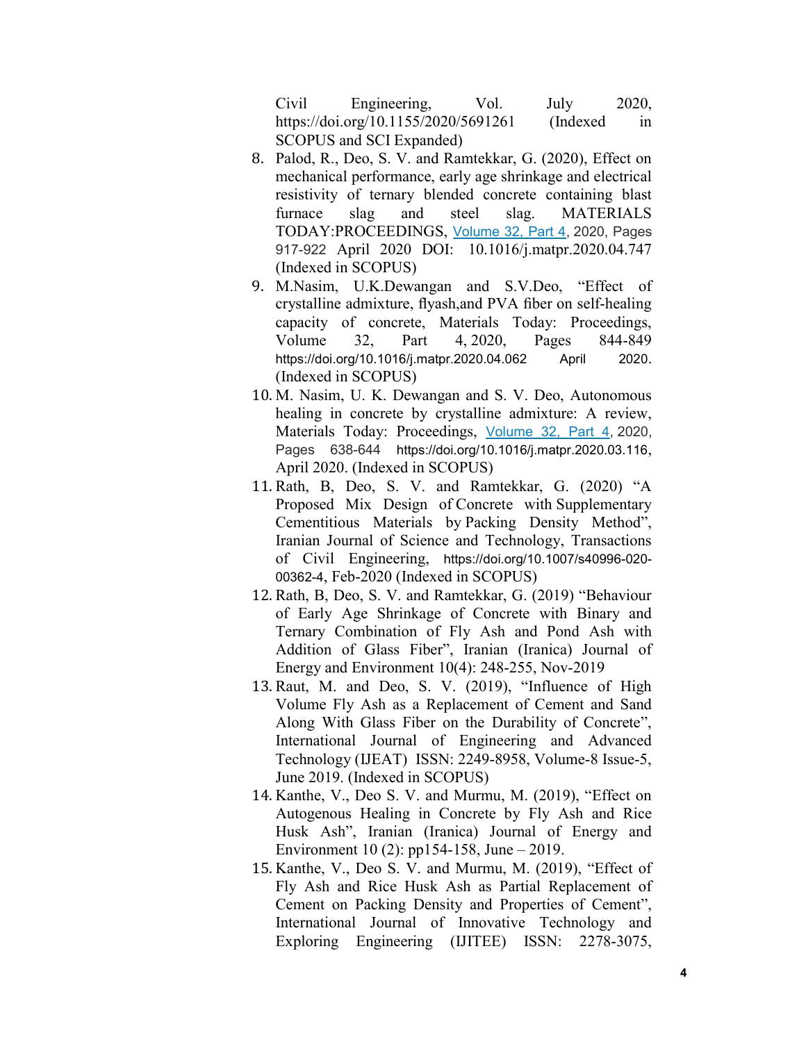Civil Engineering, Vol. July 2020, https://doi.org/10.1155/2020/5691261 (Indexed in SCOPUS and SCI Expanded)

- 8. Palod, R., Deo, S. V. and Ramtekkar, G. (2020), Effect on mechanical performance, early age shrinkage and electrical resistivity of ternary blended concrete containing blast furnace slag and steel slag. MATERIALS TODAY:PROCEEDINGS, Volume 32, Part 4, 2020, Pages 917-922 April 2020 DOI: 10.1016/j.matpr.2020.04.747 (Indexed in SCOPUS)
- 9. M.Nasim, U.K.Dewangan and S.V.Deo, "Effect of crystalline admixture, flyash,and PVA fiber on self-healing capacity of concrete, Materials Today: Proceedings, Volume 32, Part 4, 2020, Pages 844-849 https://doi.org/10.1016/j.matpr.2020.04.062 April 2020. (Indexed in SCOPUS)
- 10. M. Nasim, U. K. Dewangan and S. V. Deo, Autonomous healing in concrete by crystalline admixture: A review, Materials Today: Proceedings, Volume 32, Part 4, 2020, Pages 638-644 https://doi.org/10.1016/j.matpr.2020.03.116, April 2020. (Indexed in SCOPUS)
- 11. Rath, B, Deo, S. V. and Ramtekkar, G. (2020) "A Proposed Mix Design of Concrete with Supplementary Cementitious Materials by Packing Density Method", Iranian Journal of Science and Technology, Transactions of Civil Engineering, https://doi.org/10.1007/s40996-020- 00362-4, Feb-2020 (Indexed in SCOPUS)
- 12. Rath, B, Deo, S. V. and Ramtekkar, G. (2019) "Behaviour of Early Age Shrinkage of Concrete with Binary and Ternary Combination of Fly Ash and Pond Ash with Addition of Glass Fiber", Iranian (Iranica) Journal of Energy and Environment 10(4): 248-255, Nov-2019
- 13. Raut, M. and Deo, S. V. (2019), "Influence of High Volume Fly Ash as a Replacement of Cement and Sand Along With Glass Fiber on the Durability of Concrete", International Journal of Engineering and Advanced Technology (IJEAT) ISSN: 2249-8958, Volume-8 Issue-5, June 2019. (Indexed in SCOPUS)
- 14. Kanthe, V., Deo S. V. and Murmu, M. (2019), "Effect on Autogenous Healing in Concrete by Fly Ash and Rice Husk Ash", Iranian (Iranica) Journal of Energy and Environment 10 (2): pp154-158, June – 2019.
- 15. Kanthe, V., Deo S. V. and Murmu, M. (2019), "Effect of Fly Ash and Rice Husk Ash as Partial Replacement of Cement on Packing Density and Properties of Cement", International Journal of Innovative Technology and Exploring Engineering (IJITEE) ISSN: 2278-3075,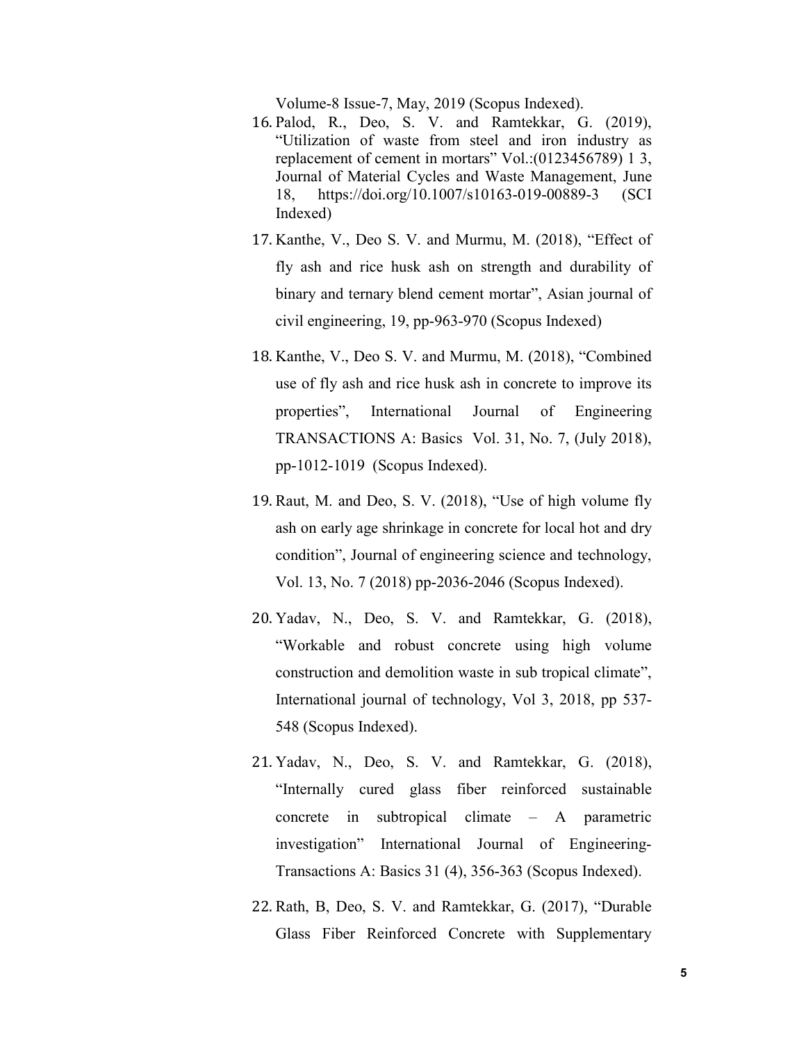Volume-8 Issue-7, May, 2019 (Scopus Indexed).

- 16. Palod, R., Deo, S. V. and Ramtekkar, G. (2019), "Utilization of waste from steel and iron industry as replacement of cement in mortars" Vol.:(0123456789) 1 3, Journal of Material Cycles and Waste Management, June 18, https://doi.org/10.1007/s10163-019-00889-3 (SCI Indexed)
- 17. Kanthe, V., Deo S. V. and Murmu, M. (2018), "Effect of fly ash and rice husk ash on strength and durability of binary and ternary blend cement mortar", Asian journal of civil engineering, 19, pp-963-970 (Scopus Indexed)
- 18. Kanthe, V., Deo S. V. and Murmu, M. (2018), "Combined use of fly ash and rice husk ash in concrete to improve its properties", International Journal of Engineering TRANSACTIONS A: Basics Vol. 31, No. 7, (July 2018), pp-1012-1019 (Scopus Indexed).
- 19. Raut, M. and Deo, S. V. (2018), "Use of high volume fly ash on early age shrinkage in concrete for local hot and dry condition", Journal of engineering science and technology, Vol. 13, No. 7 (2018) pp-2036-2046 (Scopus Indexed).
- 20. Yadav, N., Deo, S. V. and Ramtekkar, G. (2018), "Workable and robust concrete using high volume construction and demolition waste in sub tropical climate", International journal of technology, Vol 3, 2018, pp 537- 548 (Scopus Indexed).
- 21. Yadav, N., Deo, S. V. and Ramtekkar, G. (2018), "Internally cured glass fiber reinforced sustainable concrete in subtropical climate – A parametric investigation" International Journal of Engineering-Transactions A: Basics 31 (4), 356-363 (Scopus Indexed).
- 22. Rath, B, Deo, S. V. and Ramtekkar, G. (2017), "Durable Glass Fiber Reinforced Concrete with Supplementary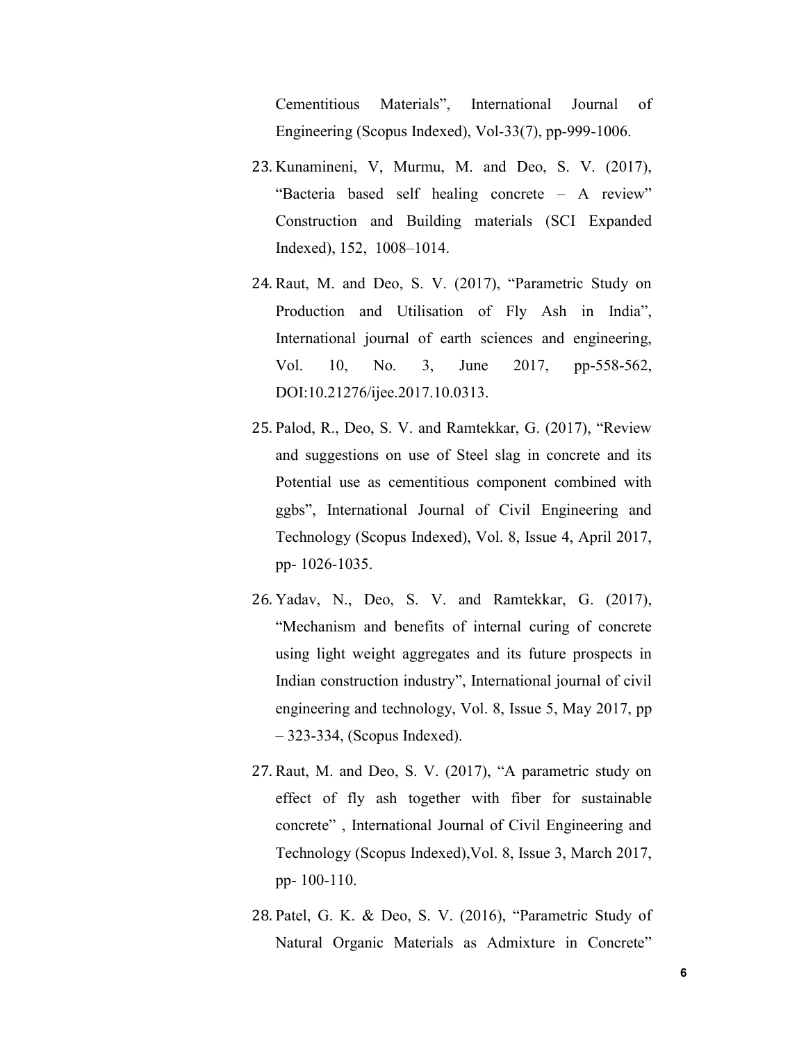Cementitious Materials", International Journal of Engineering (Scopus Indexed), Vol-33(7), pp-999-1006.

- 23. Kunamineni, V, Murmu, M. and Deo, S. V. (2017), "Bacteria based self healing concrete – A review" Construction and Building materials (SCI Expanded Indexed), 152, 1008–1014.
- 24. Raut, M. and Deo, S. V. (2017), "Parametric Study on Production and Utilisation of Fly Ash in India", International journal of earth sciences and engineering, Vol. 10, No. 3, June 2017, pp-558-562, DOI:10.21276/ijee.2017.10.0313.
- 25. Palod, R., Deo, S. V. and Ramtekkar, G. (2017), "Review and suggestions on use of Steel slag in concrete and its Potential use as cementitious component combined with ggbs", International Journal of Civil Engineering and Technology (Scopus Indexed), Vol. 8, Issue 4, April 2017, pp- 1026-1035.
- 26. Yadav, N., Deo, S. V. and Ramtekkar, G. (2017), "Mechanism and benefits of internal curing of concrete using light weight aggregates and its future prospects in Indian construction industry", International journal of civil engineering and technology, Vol. 8, Issue 5, May 2017, pp – 323-334, (Scopus Indexed).
- 27. Raut, M. and Deo, S. V. (2017), "A parametric study on effect of fly ash together with fiber for sustainable concrete" , International Journal of Civil Engineering and Technology (Scopus Indexed),Vol. 8, Issue 3, March 2017, pp- 100-110.
- 28. Patel, G. K. & Deo, S. V. (2016), "Parametric Study of Natural Organic Materials as Admixture in Concrete"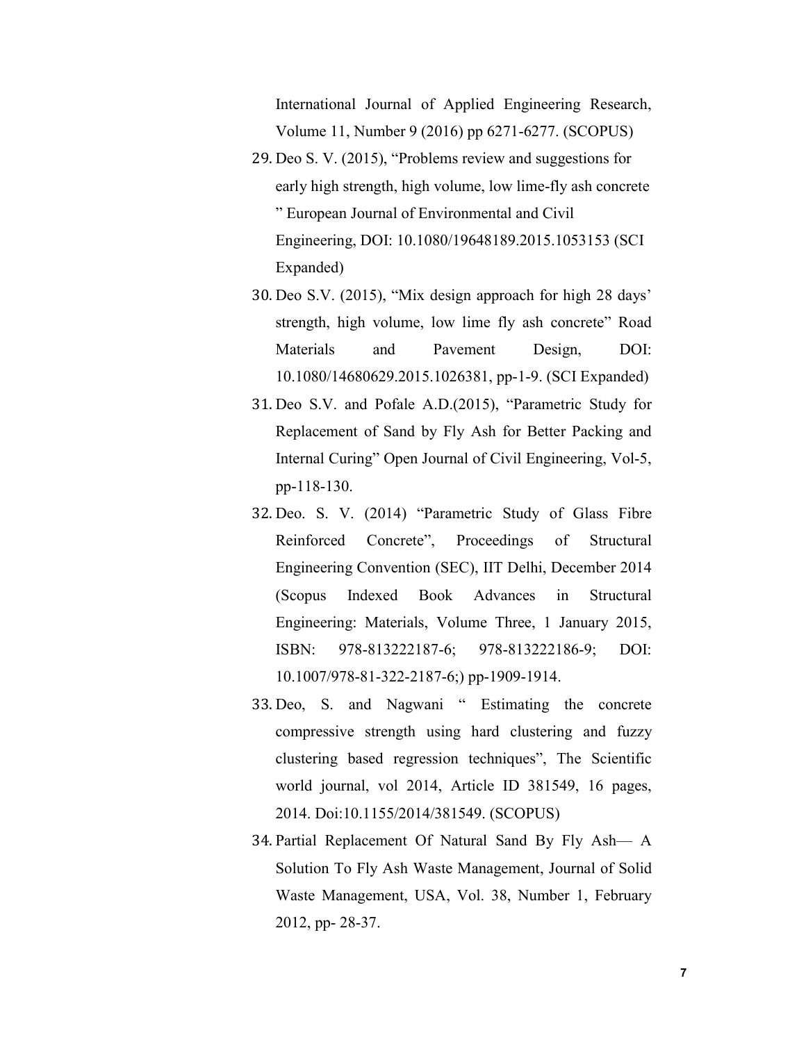International Journal of Applied Engineering Research, Volume 11, Number 9 (2016) pp 6271-6277. (SCOPUS)

- 29. Deo S. V. (2015), "Problems review and suggestions for early high strength, high volume, low lime-fly ash concrete " European Journal of Environmental and Civil Engineering, DOI: 10.1080/19648189.2015.1053153 (SCI Expanded)
- 30. Deo S.V. (2015), "Mix design approach for high 28 days' strength, high volume, low lime fly ash concrete" Road Materials and Pavement Design, DOI: 10.1080/14680629.2015.1026381, pp-1-9. (SCI Expanded)
- 31. Deo S.V. and Pofale A.D.(2015), "Parametric Study for Replacement of Sand by Fly Ash for Better Packing and Internal Curing" Open Journal of Civil Engineering, Vol-5, pp-118-130.
- 32. Deo. S. V. (2014) "Parametric Study of Glass Fibre Reinforced Concrete", Proceedings of Structural Engineering Convention (SEC), IIT Delhi, December 2014 (Scopus Indexed Book Advances in Structural Engineering: Materials, Volume Three, 1 January 2015, ISBN: 978-813222187-6; 978-813222186-9; DOI: 10.1007/978-81-322-2187-6;) pp-1909-1914.
- 33. Deo, S. and Nagwani " Estimating the concrete compressive strength using hard clustering and fuzzy clustering based regression techniques", The Scientific world journal, vol 2014, Article ID 381549, 16 pages, 2014. Doi:10.1155/2014/381549. (SCOPUS)
- 34. Partial Replacement Of Natural Sand By Fly Ash— A Solution To Fly Ash Waste Management, Journal of Solid Waste Management, USA, Vol. 38, Number 1, February 2012, pp- 28-37.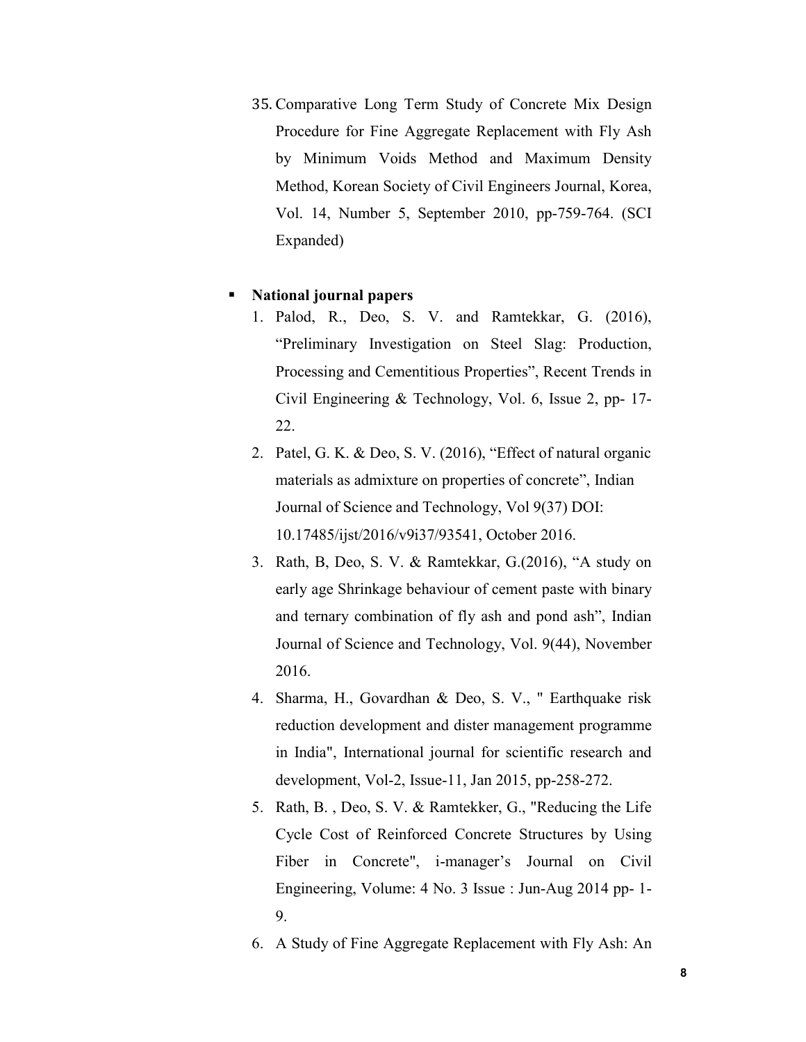35. Comparative Long Term Study of Concrete Mix Design Procedure for Fine Aggregate Replacement with Fly Ash by Minimum Voids Method and Maximum Density Method, Korean Society of Civil Engineers Journal, Korea, Vol. 14, Number 5, September 2010, pp-759-764. (SCI Expanded)

## National journal papers

- 1. Palod, R., Deo, S. V. and Ramtekkar, G. (2016), "Preliminary Investigation on Steel Slag: Production, Processing and Cementitious Properties", Recent Trends in Civil Engineering & Technology, Vol. 6, Issue 2, pp- 17- 22.
- 2. Patel, G. K. & Deo, S. V. (2016), "Effect of natural organic materials as admixture on properties of concrete", Indian Journal of Science and Technology, Vol 9(37) DOI: 10.17485/ijst/2016/v9i37/93541, October 2016.
- 3. Rath, B, Deo, S. V. & Ramtekkar, G.(2016), "A study on early age Shrinkage behaviour of cement paste with binary and ternary combination of fly ash and pond ash", Indian Journal of Science and Technology, Vol. 9(44), November 2016.
- 4. Sharma, H., Govardhan & Deo, S. V., " Earthquake risk reduction development and dister management programme in India", International journal for scientific research and development, Vol-2, Issue-11, Jan 2015, pp-258-272.
- 5. Rath, B. , Deo, S. V. & Ramtekker, G., "Reducing the Life Cycle Cost of Reinforced Concrete Structures by Using Fiber in Concrete", i-manager's Journal on Civil Engineering, Volume: 4 No. 3 Issue : Jun-Aug 2014 pp- 1- 9.
- 6. A Study of Fine Aggregate Replacement with Fly Ash: An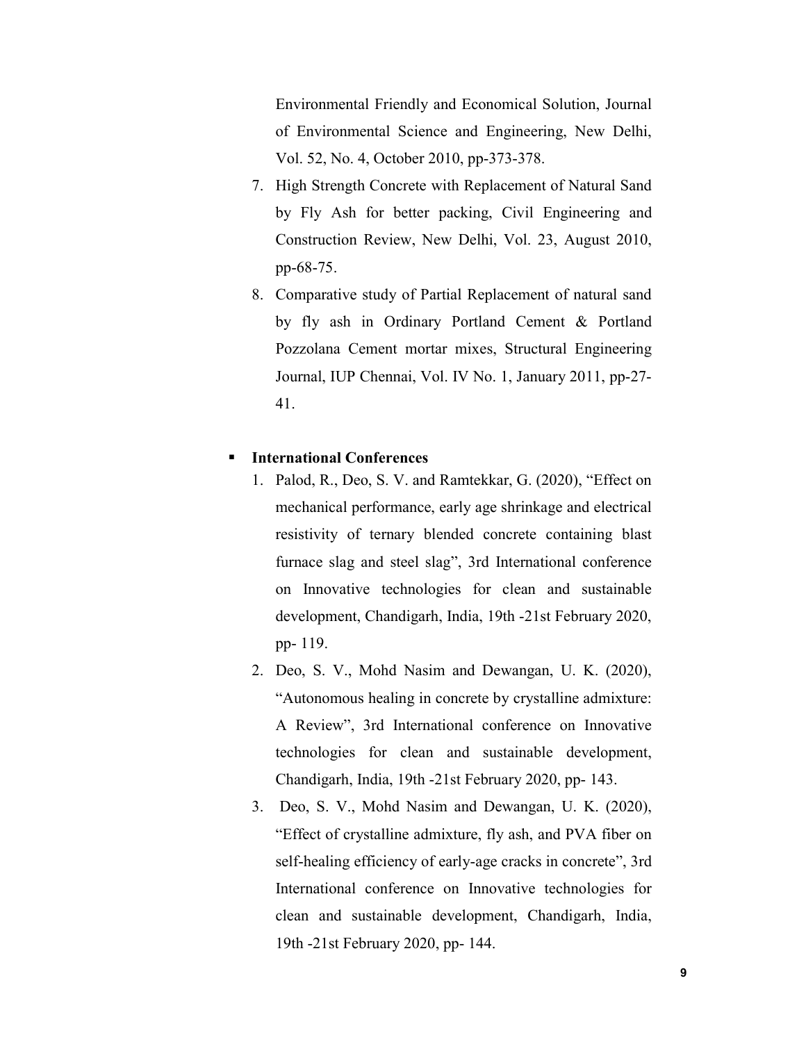Environmental Friendly and Economical Solution, Journal of Environmental Science and Engineering, New Delhi, Vol. 52, No. 4, October 2010, pp-373-378.

- 7. High Strength Concrete with Replacement of Natural Sand by Fly Ash for better packing, Civil Engineering and Construction Review, New Delhi, Vol. 23, August 2010, pp-68-75.
- 8. Comparative study of Partial Replacement of natural sand by fly ash in Ordinary Portland Cement & Portland Pozzolana Cement mortar mixes, Structural Engineering Journal, IUP Chennai, Vol. IV No. 1, January 2011, pp-27- 41.

# International Conferences

- 1. Palod, R., Deo, S. V. and Ramtekkar, G. (2020), "Effect on mechanical performance, early age shrinkage and electrical resistivity of ternary blended concrete containing blast furnace slag and steel slag", 3rd International conference on Innovative technologies for clean and sustainable development, Chandigarh, India, 19th -21st February 2020, pp- 119.
- 2. Deo, S. V., Mohd Nasim and Dewangan, U. K. (2020), "Autonomous healing in concrete by crystalline admixture: A Review", 3rd International conference on Innovative technologies for clean and sustainable development, Chandigarh, India, 19th -21st February 2020, pp- 143.
- 3. Deo, S. V., Mohd Nasim and Dewangan, U. K. (2020), "Effect of crystalline admixture, fly ash, and PVA fiber on self-healing efficiency of early-age cracks in concrete", 3rd International conference on Innovative technologies for clean and sustainable development, Chandigarh, India, 19th -21st February 2020, pp- 144.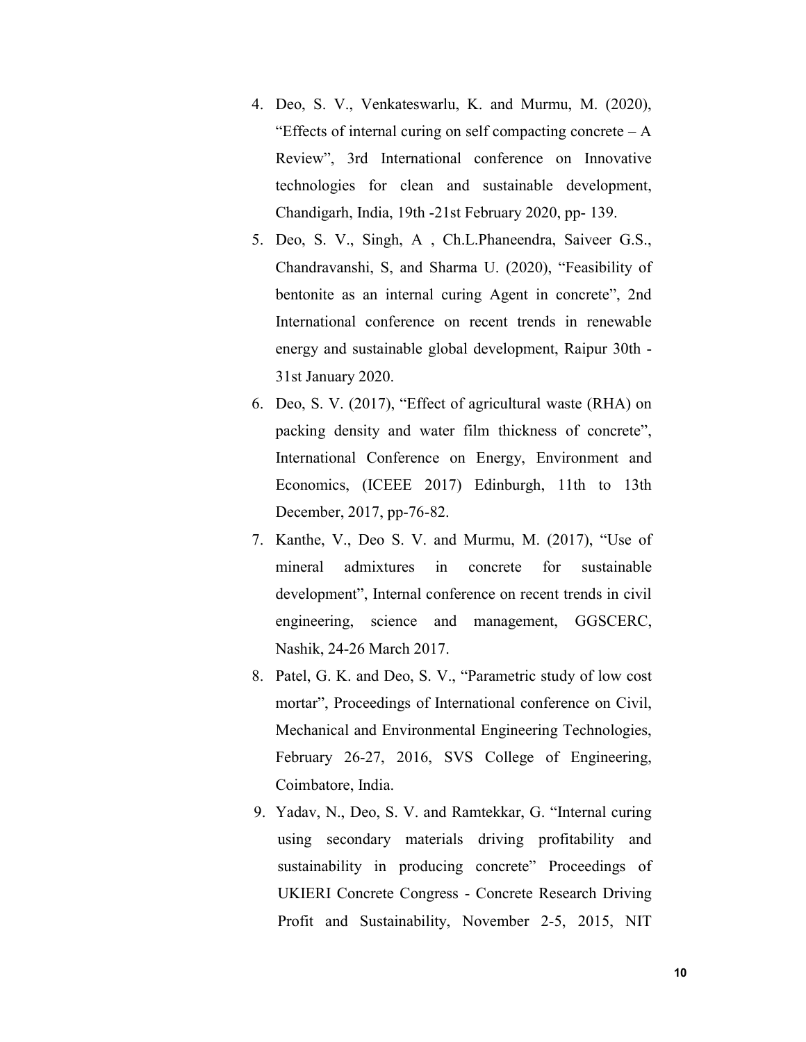- 4. Deo, S. V., Venkateswarlu, K. and Murmu, M. (2020), "Effects of internal curing on self compacting concrete  $-A$ Review", 3rd International conference on Innovative technologies for clean and sustainable development, Chandigarh, India, 19th -21st February 2020, pp- 139.
- 5. Deo, S. V., Singh, A , Ch.L.Phaneendra, Saiveer G.S., Chandravanshi, S, and Sharma U. (2020), "Feasibility of bentonite as an internal curing Agent in concrete", 2nd International conference on recent trends in renewable energy and sustainable global development, Raipur 30th - 31st January 2020.
- 6. Deo, S. V. (2017), "Effect of agricultural waste (RHA) on packing density and water film thickness of concrete", International Conference on Energy, Environment and Economics, (ICEEE 2017) Edinburgh, 11th to 13th December, 2017, pp-76-82.
- 7. Kanthe, V., Deo S. V. and Murmu, M. (2017), "Use of mineral admixtures in concrete for sustainable development", Internal conference on recent trends in civil engineering, science and management, GGSCERC, Nashik, 24-26 March 2017.
- 8. Patel, G. K. and Deo, S. V., "Parametric study of low cost mortar", Proceedings of International conference on Civil, Mechanical and Environmental Engineering Technologies, February 26-27, 2016, SVS College of Engineering, Coimbatore, India.
- 9. Yadav, N., Deo, S. V. and Ramtekkar, G. "Internal curing using secondary materials driving profitability and sustainability in producing concrete" Proceedings of UKIERI Concrete Congress - Concrete Research Driving Profit and Sustainability, November 2-5, 2015, NIT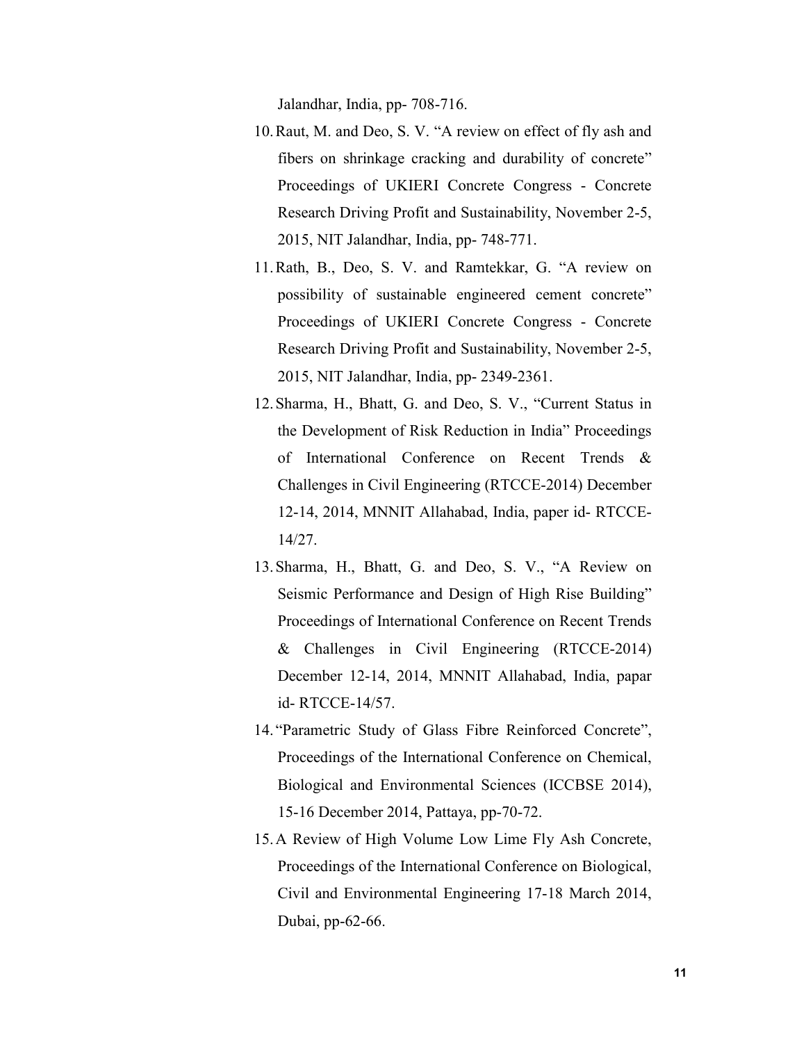Jalandhar, India, pp- 708-716.

- 10.Raut, M. and Deo, S. V. "A review on effect of fly ash and fibers on shrinkage cracking and durability of concrete" Proceedings of UKIERI Concrete Congress - Concrete Research Driving Profit and Sustainability, November 2-5, 2015, NIT Jalandhar, India, pp- 748-771.
- 11.Rath, B., Deo, S. V. and Ramtekkar, G. "A review on possibility of sustainable engineered cement concrete" Proceedings of UKIERI Concrete Congress - Concrete Research Driving Profit and Sustainability, November 2-5, 2015, NIT Jalandhar, India, pp- 2349-2361.
- 12.Sharma, H., Bhatt, G. and Deo, S. V., "Current Status in the Development of Risk Reduction in India" Proceedings of International Conference on Recent Trends & Challenges in Civil Engineering (RTCCE-2014) December 12-14, 2014, MNNIT Allahabad, India, paper id- RTCCE-14/27.
- 13.Sharma, H., Bhatt, G. and Deo, S. V., "A Review on Seismic Performance and Design of High Rise Building" Proceedings of International Conference on Recent Trends & Challenges in Civil Engineering (RTCCE-2014) December 12-14, 2014, MNNIT Allahabad, India, papar id- RTCCE-14/57.
- 14. "Parametric Study of Glass Fibre Reinforced Concrete", Proceedings of the International Conference on Chemical, Biological and Environmental Sciences (ICCBSE 2014), 15-16 December 2014, Pattaya, pp-70-72.
- 15.A Review of High Volume Low Lime Fly Ash Concrete, Proceedings of the International Conference on Biological, Civil and Environmental Engineering 17-18 March 2014, Dubai, pp-62-66.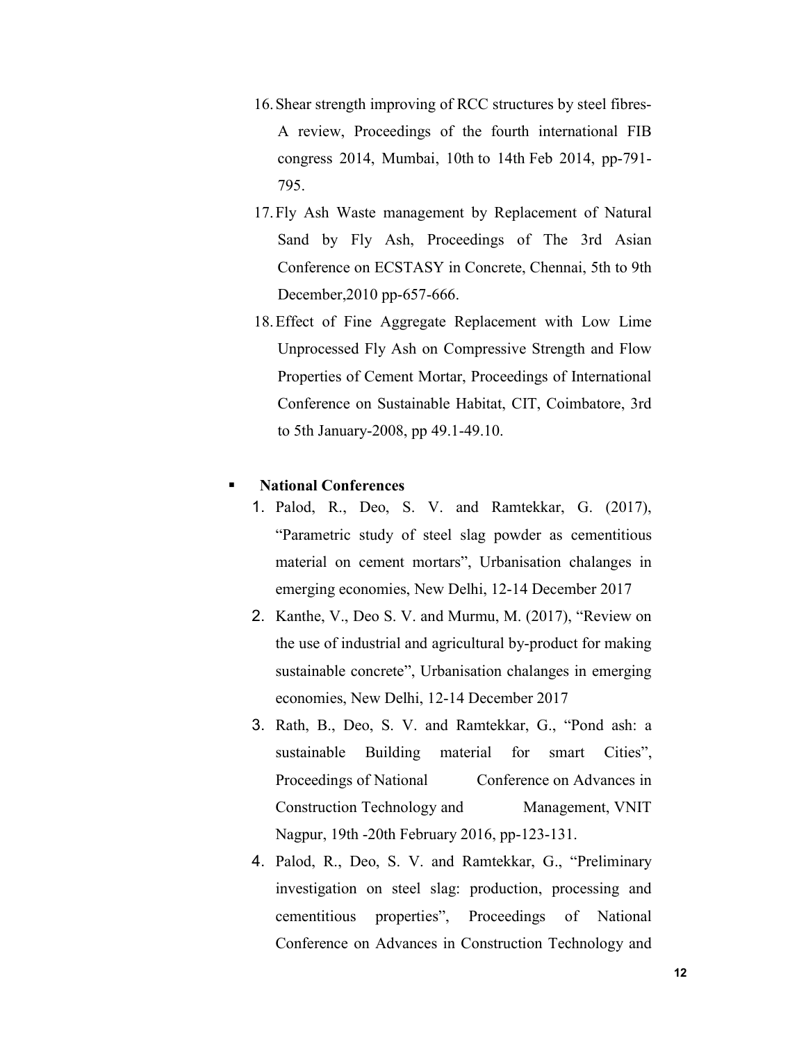- 16.Shear strength improving of RCC structures by steel fibres-A review, Proceedings of the fourth international FIB congress 2014, Mumbai, 10th to 14th Feb 2014, pp-791- 795.
- 17.Fly Ash Waste management by Replacement of Natural Sand by Fly Ash, Proceedings of The 3rd Asian Conference on ECSTASY in Concrete, Chennai, 5th to 9th December,2010 pp-657-666.
- 18.Effect of Fine Aggregate Replacement with Low Lime Unprocessed Fly Ash on Compressive Strength and Flow Properties of Cement Mortar, Proceedings of International Conference on Sustainable Habitat, CIT, Coimbatore, 3rd to 5th January-2008, pp 49.1-49.10.

## National Conferences

- 1. Palod, R., Deo, S. V. and Ramtekkar, G. (2017), "Parametric study of steel slag powder as cementitious material on cement mortars", Urbanisation chalanges in emerging economies, New Delhi, 12-14 December 2017
- 2. Kanthe, V., Deo S. V. and Murmu, M. (2017), "Review on the use of industrial and agricultural by-product for making sustainable concrete", Urbanisation chalanges in emerging economies, New Delhi, 12-14 December 2017
- 3. Rath, B., Deo, S. V. and Ramtekkar, G., "Pond ash: a sustainable Building material for smart Cities", Proceedings of National Conference on Advances in Construction Technology and Management, VNIT Nagpur, 19th -20th February 2016, pp-123-131.
- 4. Palod, R., Deo, S. V. and Ramtekkar, G., "Preliminary investigation on steel slag: production, processing and cementitious properties", Proceedings of National Conference on Advances in Construction Technology and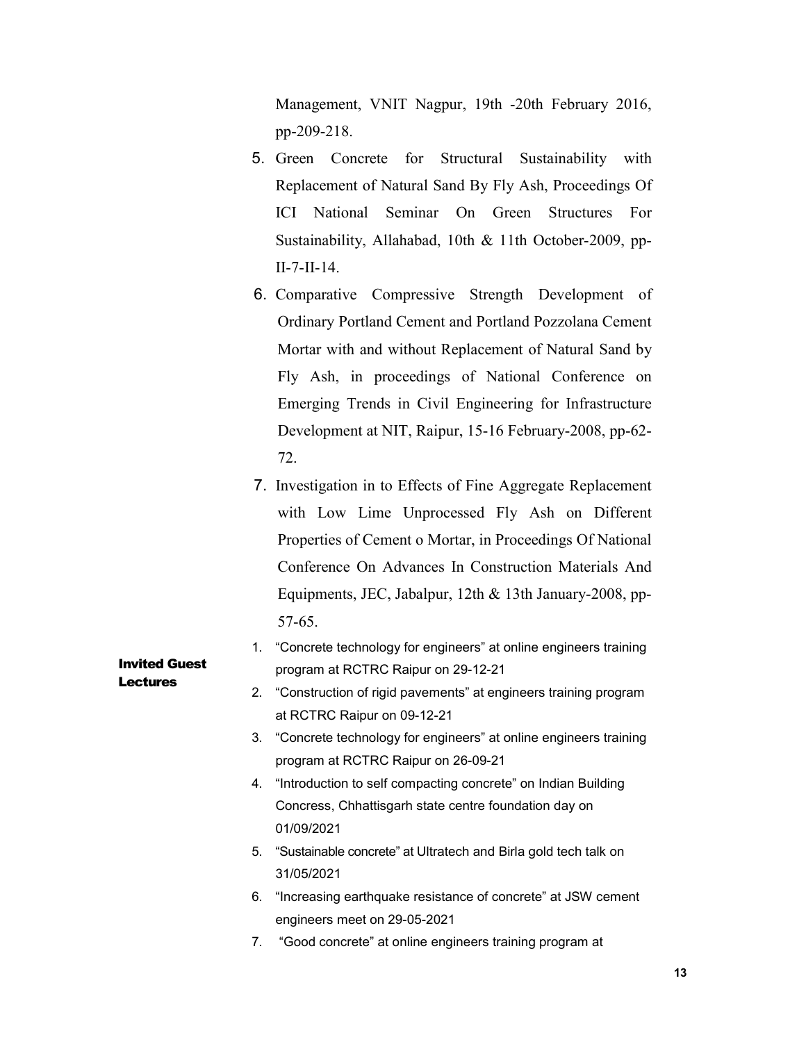Management, VNIT Nagpur, 19th -20th February 2016, pp-209-218.

- 5. Green Concrete for Structural Sustainability with Replacement of Natural Sand By Fly Ash, Proceedings Of ICI National Seminar On Green Structures For Sustainability, Allahabad, 10th & 11th October-2009, pp-II-7-II-14.
- 6. Comparative Compressive Strength Development of Ordinary Portland Cement and Portland Pozzolana Cement Mortar with and without Replacement of Natural Sand by Fly Ash, in proceedings of National Conference on Emerging Trends in Civil Engineering for Infrastructure Development at NIT, Raipur, 15-16 February-2008, pp-62- 72.
- 7. Investigation in to Effects of Fine Aggregate Replacement with Low Lime Unprocessed Fly Ash on Different Properties of Cement o Mortar, in Proceedings Of National Conference On Advances In Construction Materials And Equipments, JEC, Jabalpur, 12th & 13th January-2008, pp-57-65.
- 1. "Concrete technology for engineers" at online engineers training program at RCTRC Raipur on 29-12-21
	- 2. "Construction of rigid pavements" at engineers training program at RCTRC Raipur on 09-12-21
	- 3. "Concrete technology for engineers" at online engineers training program at RCTRC Raipur on 26-09-21
	- 4. "Introduction to self compacting concrete" on Indian Building Concress, Chhattisgarh state centre foundation day on 01/09/2021
	- 5. "Sustainable concrete" at Ultratech and Birla gold tech talk on 31/05/2021
	- 6. "Increasing earthquake resistance of concrete" at JSW cement engineers meet on 29-05-2021
	- 7. "Good concrete" at online engineers training program at

Invited Guest **Lectures**